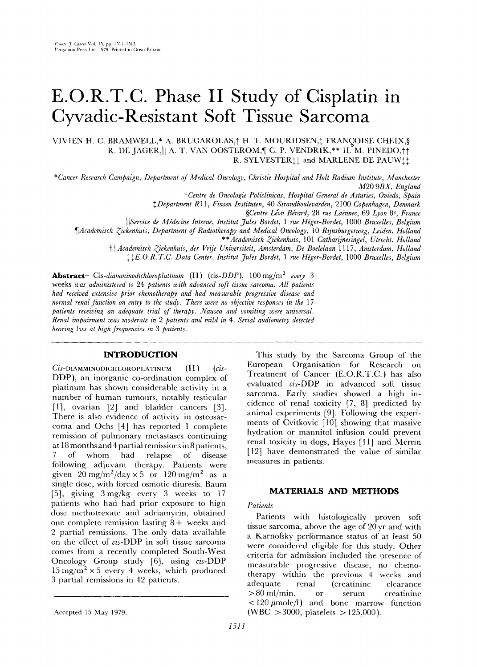# **E.O.R.T.C. Phase II Study of Cisplatin in Cyvadic-Resistant Soft Tissue Sarcoma**

VIVIEN H. C. BRAMWELL,\* A. BRUGAROLAS,† H. T. MOURIDSEN, $^*_+$  FRANÇOISE CHEIX,§ R. DE JAGER, A. T. VAN OOSTEROM, C. P. VENDRIK,\*\* H. M. PINEDO, <sup>†</sup>† R. SYLVESTER<sup>++</sup> and MARLENE DE PAUW<sup>++</sup>

*\*Cancer Research Campaign, Department of Medical Oncology, Christie Hospital and Holt Radium Institute, Manchester*  M20 *9BX, England* 

*"~Centre de Oncologie Policlinicas, Hospital General de Asturies, Oviedo, Spain* 

*++Department R11, Finsen Instituten,* 40 *Strandboulevarden,* 2100 *Copenhagen, Denmark* 

*§Centre Lgon Bgrard,* 28 *rue Lagnnec,* 69 *Lyon 8~, France* 

*IIService de Midecine Interne, Institut Jules Bordet, 1 rue Hdger-Bordet,* 1000 *Bruxelles, Belgium* 

*¶Academisch Ziekenhuis, Department of Radiotherapy and Medical Oncology,* 10 *Rijnsburgerweg, Leiden, Holland* 

*\* \* Academisch Ziekenhuis,* 101 *Catharo'nesingel , Utrecht, Holland* 

*t~ Academisch Ziekenhuis, der Vro'e Universiteit, Amsterdam, De Boelelaan 1117, Amsterdam, Holland* 

*+++E.O.R.T.C. Data Center, Institut Jules Bordet, 1 rue Higer-Bordet,* 1000 *Bruxelles, Belgium* 

**Abstract**--Cis-diamminodichloroplatinum **(II) (cis-DDP)**, 100 mg/m<sup>2</sup> *every* 3 weeks *was administered to* 24 *patients with advanced soft tissue sarcoma. All patients had received extensive prior chemotherapy and had measurable progressive disease and normal renal function on entry to the study. There were no objective responses in the* 17 *patients receiving an adequate trial of therapy. Nausea and vomiting were universal. Renal impairment was moderate in 2 patients and mild in 4. Serial audiometry detected hearing loss at high frequencies in 3 patients.* 

## **INTRODUCTION**

*CiS-DIAMMINODICHLOROPLATINUM* (II) *(cis-*DDP), an inorganic co-ordination complex of platinum has shown considerable activity in a number of human tumours, notably testicular [1], ovarian [2] and bladder cancers [3]. There is also evidence of activity in osteosarcoma and Ochs [4] has reported 1 complete remission of pulmonary metastases continuing at 18 months and 4 partial remissions in 8 patients, 7 of whom had relapse of disease following adjuvant therapy. Patients were given  $20 \text{ mg/m}^2/\text{day} \times 5$  or  $120 \text{ mg/m}^2$  as a single dose, with forced osmotic diuresis. Baum [5], giving 3mg/kg every 3 weeks to 17 patients who had had prior exposure to high dose methotrexate and adriamycin, obtained one complete remission lasting  $8+$  weeks and 2 partial remissions. The only data available on the effect of *cis-DDP* in soft tissue sarcoma comes from a recently completed South-West Oncology Group study [6], using *cis-DDP*   $15 \text{ mg/m}^2 \times 5$  every 4 weeks, which produced 3 partial remissions in 42 patients.

This study by the Sarcoma Group of the European Organisation for Research on Treatment of Cancer (E.O.R.T.C.) has also evaluated *cis-DDP* in advanced soft tissue sarcoma. Early studies showed a high incidence of renal toxicity [7, 8] predicted by animal experiments [9]. Following the experiments of Cvitkovic [10] showing that massive hydration or mannitol infusion could prevent renal toxicity in dogs, Hayes [11] and Merrin [12] have demonstrated the value of similar measures in patients.

#### **MATERIALS AND METHODS**

## *Patients*

Patients with histologically proven soft tissue sarcoma, above the age of 20 yr and with a Karnofsky performance status of at least 50 were considered eligible for this study. Other criteria for admission included the presence of measurable progressive disease, no chemotherapy within the previous 4 weeks and adequate renal (creatinine clearance > 80 ml/min, or serum creatinine  $\langle 120 \mu mole/l \rangle$  and bone marrow function  $(WBC > 3000,$  platelets  $> 125,000$ ).

Accepted 15 May 1979.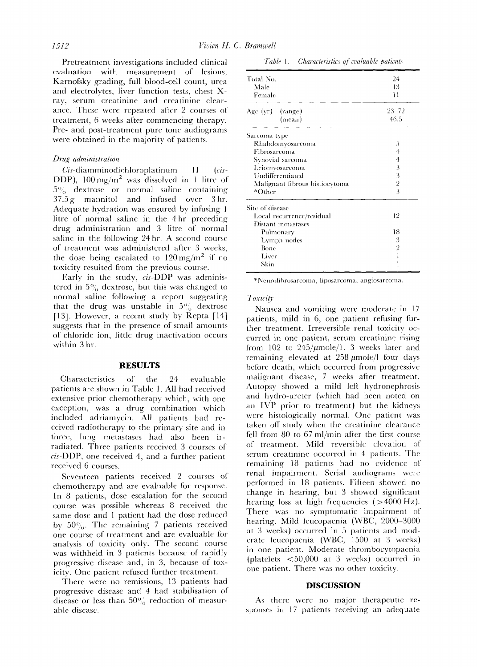Pretreatment investigations included clinical evaluation with measurement of lesions. Karnofsky grading, full blood-cell count, urea and electrolytes, liver function tests, chest Xray, serum creatinine and creatinine clearance. These. were repeated after 2 courses of treatment, 6 weeks alter commencing therapy. Pre- and post-treatment pure tone audiograms were obtained in the majority of patients.

## *Drug administralion*

 $Cis$ -diamminodichloroplatinum II  $(cis-$ DDP),  $100 \text{ mg/m}^2$  was dissolved in 1 litre of  $5\%$  dextrose or normal saline containing 37.5g mannitol and infused over 3hr. Adequate hydration was ensured by infusing 1 litre of normal saline in the 4hr preceding drug administration and 3 litre of normal saline in the tollowing 24hr. A second course of treatment was administered after 3 weeks, the dose being escalated to  $120 \,\text{mg/m}^2$  if no toxicity resulted from the previous course.

Early in the study, cis-DDP was administered in  $5\%$  dextrose, but this was changed to normal saline following a report suggesting that the drug was unstable in  $5\%$  dextrose [13]. However, a recent study by Repta [14] suggests that in the presence of small amounts of chloride ion, little drug inactivation occurs within 3 hr.

#### **RESULTS**

Characteristics of the 24 evaluable patients are shown in Table 1. All had received extensive prior chemotherapy which, with one exception, was a drug combination which included adriamycin. All patients had received radiotherapy to the primary site and in three, lung metastases had also been irradiated. Three patients received 3 courses of cis-DDP, one received 4, and a further patient received 6 courses.

Seventeen patients received 2 courses of chemotherapy and are evaluable for response. In 8 patients, dose escalation for the second course was possible whereas 8 received the same dose and 1 patient had the dose reduced by  $50\%$ . The remaining 7 patients received one course of treatment and are evaluable for analysis of toxicity only. The second course was withheld in 3 patients because of rapidly progressive disease and, in 3, because of toxicity. One patient refused further treatment.

There were no remissions, 13 patients had progressive disease and 4 had stabilisation of disease or less than  $50\%$  reduction of measurable disease.

*Table 1. Characteristics q/evaluable patients* 

| Total No.<br>Male<br>Female    | 24<br>13<br>11 |
|--------------------------------|----------------|
|                                |                |
| (mcan)                         | 46.5           |
| Sarcoma type                   |                |
| Rhabdomyosarcoma               | 5              |
| Fibrosarcoma                   | 4              |
| Synovial sarcoma               | 4              |
| Leiomyosarcoma                 | 3              |
| Undifferentiated               | 3              |
| Malignant fibrous histiocytoma | $\overline{2}$ |
| *Other                         | 3              |
| Site of disease                |                |
| Local recurrence/residual      | 12             |
| Distant metastases             |                |
| Pulmonary                      | 18             |
| Lymph nodes                    | 3              |
| Bone                           | $\overline{2}$ |
| Liver                          |                |
| Skin                           |                |

\*Neurotibrosarcoma, liposarcoma, angiosarcoma.

*Toxici!r* 

Nausea and vomiting were moderate in 17 patients, mild in 6, one patient refusing further treatment. Irreversible renal toxicity occurred in one patient, serum creatinine rising from  $102$  to  $245/\mu$ mole/1, 3 weeks later and remaining elevated at  $258~\mu$ mole/l four days before death, which occurred from progressive malignant disease, 7 weeks after treatment. Autopsy showed a mild left hydronephrosis and hydro-ureter (which had been noted on an IVP prior to treatment) but the kidneys were histologically normal. One patient was taken off study when the creatinine clearance fell from 80 to 67 ml/min after the first course of treatment. Mild reversible elevation of serum creatinine occurred in 4 patients. The remaining 18 patients had no evidence of renal impairment. Serial audiograms were performed in 18 patients. Fifteen showed no change in hearing, but 3 showed significant hearing loss at high frequencies  $(>4000 \text{ Hz})$ . There was no symptomatic impairment of hearing. Mild leucopaenia (WBC, 2000-3000 at 3 weeks) occurred in 5 patients and moderate leucopaenia (WBC, 1500 at 3 weeks) in one patient. Moderate thrombocytopaenia (platelets <50,000 at 3 weeks) occurred in one patient. There was no other toxicity.

#### **DISCUSSION**

As there were no major therapeutic responses in 17 patients receiving an adequate